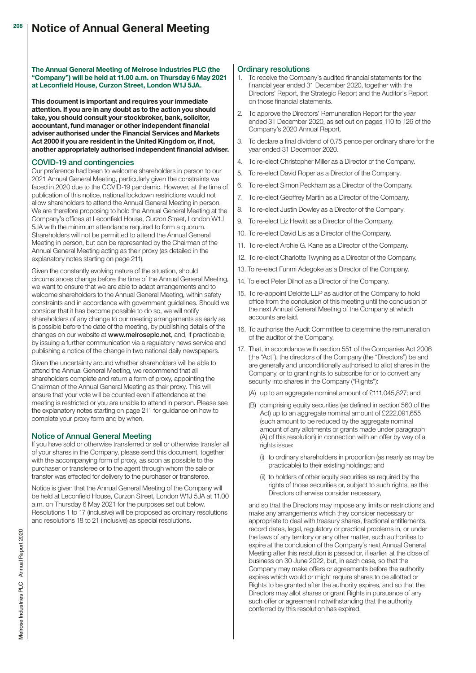The Annual General Meeting of Melrose Industries PLC (the "Company") will be held at 11.00 a.m. on Thursday 6 May 2021 at Leconfield House, Curzon Street, London W1J 5JA.

This document is important and requires your immediate attention. If you are in any doubt as to the action you should take, you should consult your stockbroker, bank, solicitor, accountant, fund manager or other independent financial adviser authorised under the Financial Services and Markets Act 2000 if you are resident in the United Kingdom or, if not, another appropriately authorised independent financial adviser.

# COVID-19 and contingencies

Our preference had been to welcome shareholders in person to our 2021 Annual General Meeting, particularly given the constraints we faced in 2020 due to the COVID-19 pandemic. However, at the time of publication of this notice, national lockdown restrictions would not allow shareholders to attend the Annual General Meeting in person. We are therefore proposing to hold the Annual General Meeting at the Company's offices at Leconfield House, Curzon Street, London W1J 5JA with the minimum attendance required to form a quorum. Shareholders will not be permitted to attend the Annual General Meeting in person, but can be represented by the Chairman of the Annual General Meeting acting as their proxy (as detailed in the explanatory notes starting on page 211).

Given the constantly evolving nature of the situation, should circumstances change before the time of the Annual General Meeting, we want to ensure that we are able to adapt arrangements and to welcome shareholders to the Annual General Meeting, within safety constraints and in accordance with government guidelines. Should we consider that it has become possible to do so, we will notify shareholders of any change to our meeting arrangements as early as is possible before the date of the meeting, by publishing details of the changes on our website at [www.melroseplc.net](http://www.frc.org.uk/auditorsresponsibilities), and, if practicable, by issuing a further communication via a regulatory news service and publishing a notice of the change in two national daily newspapers.

Given the uncertainty around whether shareholders will be able to attend the Annual General Meeting, we recommend that all shareholders complete and return a form of proxy, appointing the Chairman of the Annual General Meeting as their proxy. This will ensure that your vote will be counted even if attendance at the meeting is restricted or you are unable to attend in person. Please see the explanatory notes starting on page 211 for guidance on how to complete your proxy form and by when.

# Notice of Annual General Meeting

If you have sold or otherwise transferred or sell or otherwise transfer all of your shares in the Company, please send this document, together with the accompanying form of proxy, as soon as possible to the purchaser or transferee or to the agent through whom the sale or transfer was effected for delivery to the purchaser or transferee.

Notice is given that the Annual General Meeting of the Company will be held at Leconfield House, Curzon Street, London W1J 5JA at 11.00 a.m. on Thursday 6 May 2021 for the purposes set out below. Resolutions 1 to 17 (inclusive) will be proposed as ordinary resolutions and resolutions 18 to 21 (inclusive) as special resolutions.

# Ordinary resolutions

- 1. To receive the Company's audited financial statements for the financial year ended 31 December 2020, together with the Directors' Report, the Strategic Report and the Auditor's Report on those financial statements.
- 2. To approve the Directors' Remuneration Report for the year ended 31 December 2020, as set out on pages 110 to 126 of the Company's 2020 Annual Report.
- 3. To declare a final dividend of 0.75 pence per ordinary share for the year ended 31 December 2020.
- 4. To re-elect Christopher Miller as a Director of the Company.
- 5. To re-elect David Roper as a Director of the Company.
- 6. To re-elect Simon Peckham as a Director of the Company.
- To re-elect Geoffrey Martin as a Director of the Company.
- 8. To re-elect Justin Dowley as a Director of the Company.
- 9. To re-elect Liz Hewitt as a Director of the Company.
- 10. To re-elect David Lis as a Director of the Company.
- 11. To re-elect Archie G. Kane as a Director of the Company.
- 12. To re-elect Charlotte Twyning as a Director of the Company.
- 13. To re-elect Funmi Adegoke as a Director of the Company.
- 14. To elect Peter Dilnot as a Director of the Company.
- 15. To re-appoint Deloitte LLP as auditor of the Company to hold office from the conclusion of this meeting until the conclusion of the next Annual General Meeting of the Company at which accounts are laid.
- 16. To authorise the Audit Committee to determine the remuneration of the auditor of the Company.
- 17. That, in accordance with section 551 of the Companies Act 2006 (the "Act"), the directors of the Company (the "Directors") be and are generally and unconditionally authorised to allot shares in the Company, or to grant rights to subscribe for or to convert any security into shares in the Company ("Rights"):
	- (A) up to an aggregate nominal amount of £111,045,827; and
	- (B) comprising equity securities (as defined in section 560 of the Act) up to an aggregate nominal amount of £222,091,655 (such amount to be reduced by the aggregate nominal amount of any allotments or grants made under paragraph (A) of this resolution) in connection with an offer by way of a rights issue:
		- (i) to ordinary shareholders in proportion (as nearly as may be practicable) to their existing holdings; and
		- (ii) to holders of other equity securities as required by the rights of those securities or, subject to such rights, as the Directors otherwise consider necessary,

 and so that the Directors may impose any limits or restrictions and make any arrangements which they consider necessary or appropriate to deal with treasury shares, fractional entitlements, record dates, legal, regulatory or practical problems in, or under the laws of any territory or any other matter, such authorities to expire at the conclusion of the Company's next Annual General Meeting after this resolution is passed or, if earlier, at the close of business on 30 June 2022, but, in each case, so that the Company may make offers or agreements before the authority expires which would or might require shares to be allotted or Rights to be granted after the authority expires, and so that the Directors may allot shares or grant Rights in pursuance of any such offer or agreement notwithstanding that the authority conferred by this resolution has expired.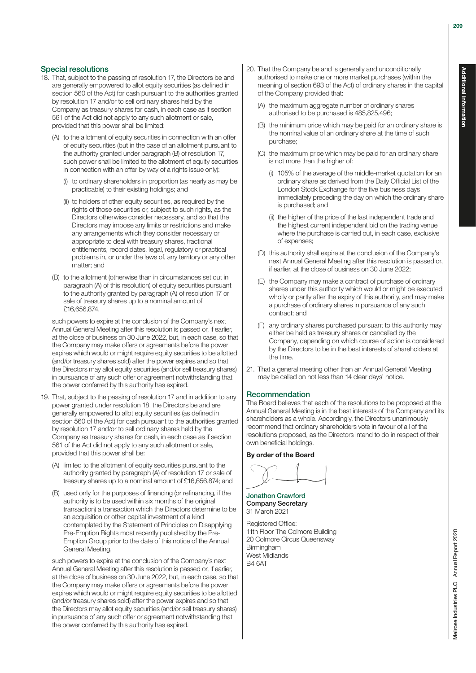### Special resolutions

- 18. That, subject to the passing of resolution 17, the Directors be and are generally empowered to allot equity securities (as defined in section 560 of the Act) for cash pursuant to the authorities granted by resolution 17 and/or to sell ordinary shares held by the Company as treasury shares for cash, in each case as if section 561 of the Act did not apply to any such allotment or sale, provided that this power shall be limited:
	- (A) to the allotment of equity securities in connection with an offer of equity securities (but in the case of an allotment pursuant to the authority granted under paragraph (B) of resolution 17, such power shall be limited to the allotment of equity securities in connection with an offer by way of a rights issue only):
		- (i) to ordinary shareholders in proportion (as nearly as may be practicable) to their existing holdings; and
		- (ii) to holders of other equity securities, as required by the rights of those securities or, subject to such rights, as the Directors otherwise consider necessary, and so that the Directors may impose any limits or restrictions and make any arrangements which they consider necessary or appropriate to deal with treasury shares, fractional entitlements, record dates, legal, regulatory or practical problems in, or under the laws of, any territory or any other matter; and
	- (B) to the allotment (otherwise than in circumstances set out in paragraph (A) of this resolution) of equity securities pursuant to the authority granted by paragraph (A) of resolution 17 or sale of treasury shares up to a nominal amount of £16,656,874,

 such powers to expire at the conclusion of the Company's next Annual General Meeting after this resolution is passed or, if earlier, at the close of business on 30 June 2022, but, in each case, so that the Company may make offers or agreements before the power expires which would or might require equity securities to be allotted (and/or treasury shares sold) after the power expires and so that the Directors may allot equity securities (and/or sell treasury shares) in pursuance of any such offer or agreement notwithstanding that the power conferred by this authority has expired.

- 19. That, subject to the passing of resolution 17 and in addition to any power granted under resolution 18, the Directors be and are generally empowered to allot equity securities (as defined in section 560 of the Act) for cash pursuant to the authorities granted by resolution 17 and/or to sell ordinary shares held by the Company as treasury shares for cash, in each case as if section 561 of the Act did not apply to any such allotment or sale, provided that this power shall be:
	- (A) limited to the allotment of equity securities pursuant to the authority granted by paragraph (A) of resolution 17 or sale of treasury shares up to a nominal amount of £16,656,874; and
	- (B) used only for the purposes of financing (or refinancing, if the authority is to be used within six months of the original transaction) a transaction which the Directors determine to be an acquisition or other capital investment of a kind contemplated by the Statement of Principles on Disapplying Pre-Emption Rights most recently published by the Pre-Emption Group prior to the date of this notice of the Annual General Meeting,

 such powers to expire at the conclusion of the Company's next Annual General Meeting after this resolution is passed or, if earlier, at the close of business on 30 June 2022, but, in each case, so that the Company may make offers or agreements before the power expires which would or might require equity securities to be allotted (and/or treasury shares sold) after the power expires and so that the Directors may allot equity securities (and/or sell treasury shares) in pursuance of any such offer or agreement notwithstanding that the power conferred by this authority has expired.

- 20. That the Company be and is generally and unconditionally authorised to make one or more market purchases (within the meaning of section 693 of the Act) of ordinary shares in the capital of the Company provided that:
	- the maximum aggregate number of ordinary shares authorised to be purchased is 485,825,496;
	- (B) the minimum price which may be paid for an ordinary share is the nominal value of an ordinary share at the time of such purchase;
	- (C) the maximum price which may be paid for an ordinary share is not more than the higher of:
		- (i) 105% of the average of the middle-market quotation for an ordinary share as derived from the Daily Official List of the London Stock Exchange for the five business days immediately preceding the day on which the ordinary share is purchased; and
		- (ii) the higher of the price of the last independent trade and the highest current independent bid on the trading venue where the purchase is carried out, in each case, exclusive of expenses;
	- (D) this authority shall expire at the conclusion of the Company's next Annual General Meeting after this resolution is passed or, if earlier, at the close of business on 30 June 2022;
	- (E) the Company may make a contract of purchase of ordinary shares under this authority which would or might be executed wholly or partly after the expiry of this authority, and may make a purchase of ordinary shares in pursuance of any such contract; and
	- (F) any ordinary shares purchased pursuant to this authority may either be held as treasury shares or cancelled by the Company, depending on which course of action is considered by the Directors to be in the best interests of shareholders at the time.
- 21. That a general meeting other than an Annual General Meeting may be called on not less than 14 clear days' notice.

#### Recommendation

The Board believes that each of the resolutions to be proposed at the Annual General Meeting is in the best interests of the Company and its shareholders as a whole. Accordingly, the Directors unanimously recommend that ordinary shareholders vote in favour of all of the resolutions proposed, as the Directors intend to do in respect of their own beneficial holdings.

#### By order of the Board

Jonathon Crawford Company Secretary 31 March 2021

Registered Office: 11th Floor The Colmore Building 20 Colmore Circus Queensway **Birmingham** West Midlands B4 6AT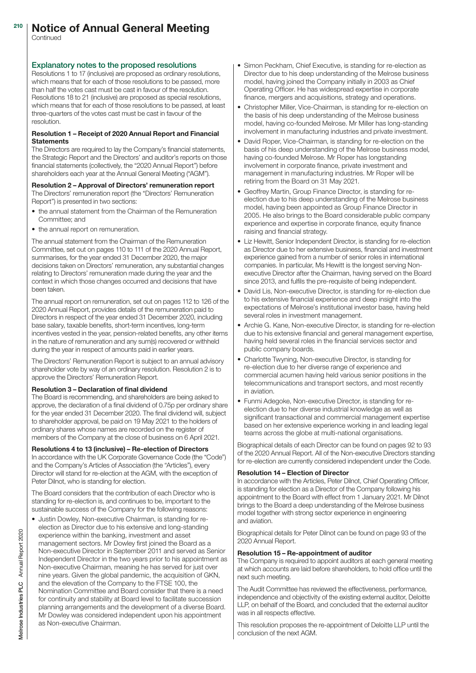#### Notice of Annual General Meeting 210

Continued

## Explanatory notes to the proposed resolutions

Resolutions 1 to 17 (inclusive) are proposed as ordinary resolutions, which means that for each of those resolutions to be passed, more than half the votes cast must be cast in favour of the resolution. Resolutions 18 to 21 (inclusive) are proposed as special resolutions, which means that for each of those resolutions to be passed, at least three-quarters of the votes cast must be cast in favour of the resolution.

### Resolution 1 – Receipt of 2020 Annual Report and Financial **Statements**

The Directors are required to lay the Company's financial statements, the Strategic Report and the Directors' and auditor's reports on those financial statements (collectively, the "2020 Annual Report") before shareholders each year at the Annual General Meeting ("AGM").

#### Resolution 2 – Approval of Directors' remuneration report

The Directors' remuneration report (the "Directors' Remuneration Report") is presented in two sections:

- the annual statement from the Chairman of the Remuneration Committee; and
- the annual report on remuneration.

The annual statement from the Chairman of the Remuneration Committee, set out on pages 110 to 111 of the 2020 Annual Report, summarises, for the year ended 31 December 2020, the major decisions taken on Directors' remuneration, any substantial changes relating to Directors' remuneration made during the year and the context in which those changes occurred and decisions that have been taken.

The annual report on remuneration, set out on pages 112 to 126 of the 2020 Annual Report, provides details of the remuneration paid to Directors in respect of the year ended 31 December 2020, including base salary, taxable benefits, short-term incentives, long-term incentives vested in the year, pension-related benefits, any other items in the nature of remuneration and any sum(s) recovered or withheld during the year in respect of amounts paid in earlier years.

The Directors' Remuneration Report is subject to an annual advisory shareholder vote by way of an ordinary resolution. Resolution 2 is to approve the Directors' Remuneration Report.

#### Resolution 3 – Declaration of final dividend

The Board is recommending, and shareholders are being asked to approve, the declaration of a final dividend of 0.75p per ordinary share for the year ended 31 December 2020. The final dividend will, subject to shareholder approval, be paid on 19 May 2021 to the holders of ordinary shares whose names are recorded on the register of members of the Company at the close of business on 6 April 2021.

Resolutions 4 to 13 (inclusive) – Re-election of Directors In accordance with the UK Corporate Governance Code (the "Code") and the Company's Articles of Association (the "Articles"), every Director will stand for re-election at the AGM, with the exception of Peter Dilnot, who is standing for election.

The Board considers that the contribution of each Director who is standing for re-election is, and continues to be, important to the sustainable success of the Company for the following reasons:

• Justin Dowley, Non-executive Chairman, is standing for reelection as Director due to his extensive and long-standing experience within the banking, investment and asset management sectors. Mr Dowley first joined the Board as a Non-executive Director in September 2011 and served as Senior Independent Director in the two years prior to his appointment as Non-executive Chairman, meaning he has served for just over nine years. Given the global pandemic, the acquisition of GKN, and the elevation of the Company to the FTSE 100, the Nomination Committee and Board consider that there is a need for continuity and stability at Board level to facilitate succession planning arrangements and the development of a diverse Board. Mr Dowley was considered independent upon his appointment as Non-executive Chairman.

- Simon Peckham, Chief Executive, is standing for re-election as Director due to his deep understanding of the Melrose business model, having joined the Company initially in 2003 as Chief Operating Officer. He has widespread expertise in corporate finance, mergers and acquisitions, strategy and operations.
- Christopher Miller, Vice-Chairman, is standing for re-election on the basis of his deep understanding of the Melrose business model, having co-founded Melrose. Mr Miller has long-standing involvement in manufacturing industries and private investment.
- David Roper, Vice-Chairman, is standing for re-election on the basis of his deep understanding of the Melrose business model, having co-founded Melrose. Mr Roper has longstanding involvement in corporate finance, private investment and management in manufacturing industries. Mr Roper will be retiring from the Board on 31 May 2021.
- Geoffrey Martin, Group Finance Director, is standing for reelection due to his deep understanding of the Melrose business model, having been appointed as Group Finance Director in 2005. He also brings to the Board considerable public company experience and expertise in corporate finance, equity finance raising and financial strategy.
- Liz Hewitt, Senior Independent Director, is standing for re-election as Director due to her extensive business, financial and investment experience gained from a number of senior roles in international companies. In particular, Ms Hewitt is the longest serving Nonexecutive Director after the Chairman, having served on the Board since 2013, and fulfils the pre-requisite of being independent.
- David Lis, Non-executive Director, is standing for re-election due to his extensive financial experience and deep insight into the expectations of Melrose's institutional investor base, having held several roles in investment management.
- Archie G. Kane, Non-executive Director, is standing for re-election due to his extensive financial and general management expertise, having held several roles in the financial services sector and public company boards.
- Charlotte Twyning, Non-executive Director, is standing for re-election due to her diverse range of experience and commercial acumen having held various senior positions in the telecommunications and transport sectors, and most recently in aviation.
- Funmi Adegoke, Non-executive Director, is standing for reelection due to her diverse industrial knowledge as well as significant transactional and commercial management expertise based on her extensive experience working in and leading legal teams across the globe at multi-national organisations.

Biographical details of each Director can be found on pages 92 to 93 of the 2020 Annual Report. All of the Non-executive Directors standing for re-election are currently considered independent under the Code.

#### Resolution 14 – Election of Director

In accordance with the Articles, Peter Dilnot, Chief Operating Officer, is standing for election as a Director of the Company following his appointment to the Board with effect from 1 January 2021. Mr Dilnot brings to the Board a deep understanding of the Melrose business model together with strong sector experience in engineering and aviation.

Biographical details for Peter Dilnot can be found on page 93 of the 2020 Annual Report.

#### Resolution 15 – Re-appointment of auditor

The Company is required to appoint auditors at each general meeting at which accounts are laid before shareholders, to hold office until the next such meeting.

The Audit Committee has reviewed the effectiveness, performance, independence and objectivity of the existing external auditor, Deloitte LLP, on behalf of the Board, and concluded that the external auditor was in all respects effective.

This resolution proposes the re-appointment of Deloitte LLP until the conclusion of the next AGM.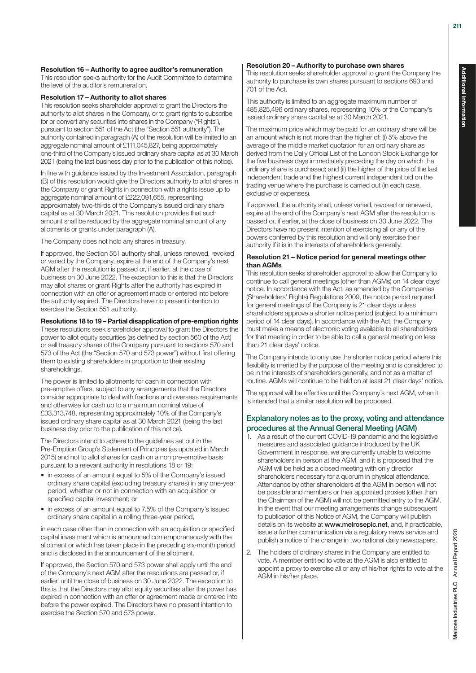#### Resolution 16 – Authority to agree auditor's remuneration

This resolution seeks authority for the Audit Committee to determine the level of the auditor's remuneration.

#### Resolution 17 – Authority to allot shares

This resolution seeks shareholder approval to grant the Directors the authority to allot shares in the Company, or to grant rights to subscribe for or convert any securities into shares in the Company ("Rights"). pursuant to section 551 of the Act (the "Section 551 authority"). The authority contained in paragraph (A) of the resolution will be limited to an aggregate nominal amount of £111,045,827, being approximately one-third of the Company's issued ordinary share capital as at 30 March 2021 (being the last business day prior to the publication of this notice).

In line with guidance issued by the Investment Association, paragraph (B) of this resolution would give the Directors authority to allot shares in the Company or grant Rights in connection with a rights issue up to aggregate nominal amount of £222,091,655, representing approximately two-thirds of the Company's issued ordinary share capital as at 30 March 2021. This resolution provides that such amount shall be reduced by the aggregate nominal amount of any allotments or grants under paragraph (A).

The Company does not hold any shares in treasury.

If approved, the Section 551 authority shall, unless renewed, revoked or varied by the Company, expire at the end of the Company's next AGM after the resolution is passed or, if earlier, at the close of business on 30 June 2022. The exception to this is that the Directors may allot shares or grant Rights after the authority has expired in connection with an offer or agreement made or entered into before the authority expired. The Directors have no present intention to exercise the Section 551 authority.

Resolutions 18 to 19 – Partial disapplication of pre-emption rights

These resolutions seek shareholder approval to grant the Directors the power to allot equity securities (as defined by section 560 of the Act) or sell treasury shares of the Company pursuant to sections 570 and 573 of the Act (the "Section 570 and 573 power") without first offering them to existing shareholders in proportion to their existing shareholdings.

The power is limited to allotments for cash in connection with pre-emptive offers, subject to any arrangements that the Directors consider appropriate to deal with fractions and overseas requirements and otherwise for cash up to a maximum nominal value of £33,313,748, representing approximately 10% of the Company's issued ordinary share capital as at 30 March 2021 (being the last business day prior to the publication of this notice).

The Directors intend to adhere to the guidelines set out in the Pre-Emption Group's Statement of Principles (as updated in March 2015) and not to allot shares for cash on a non pre-emptive basis pursuant to a relevant authority in resolutions 18 or 19:

- in excess of an amount equal to 5% of the Company's issued ordinary share capital (excluding treasury shares) in any one-year period, whether or not in connection with an acquisition or specified capital investment; or
- in excess of an amount equal to 7.5% of the Company's issued ordinary share capital in a rolling three-year period,

in each case other than in connection with an acquisition or specified capital investment which is announced contemporaneously with the allotment or which has taken place in the preceding six-month period and is disclosed in the announcement of the allotment.

If approved, the Section 570 and 573 power shall apply until the end of the Company's next AGM after the resolutions are passed or, if earlier, until the close of business on 30 June 2022. The exception to this is that the Directors may allot equity securities after the power has expired in connection with an offer or agreement made or entered into before the power expired. The Directors have no present intention to exercise the Section 570 and 573 power.

#### Resolution 20 – Authority to purchase own shares

This resolution seeks shareholder approval to grant the Company the authority to purchase its own shares pursuant to sections 693 and 701 of the Act.

This authority is limited to an aggregate maximum number of 485,825,496 ordinary shares, representing 10% of the Company's issued ordinary share capital as at 30 March 2021.

The maximum price which may be paid for an ordinary share will be an amount which is not more than the higher of: (i) 5% above the average of the middle market quotation for an ordinary share as derived from the Daily Official List of the London Stock Exchange for the five business days immediately preceding the day on which the ordinary share is purchased; and (ii) the higher of the price of the last independent trade and the highest current independent bid on the trading venue where the purchase is carried out (in each case, exclusive of expenses).

If approved, the authority shall, unless varied, revoked or renewed, expire at the end of the Company's next AGM after the resolution is passed or, if earlier, at the close of business on 30 June 2022. The Directors have no present intention of exercising all or any of the powers conferred by this resolution and will only exercise their authority if it is in the interests of shareholders generally.

#### Resolution 21 – Notice period for general meetings other than AGMs

This resolution seeks shareholder approval to allow the Company to continue to call general meetings (other than AGMs) on 14 clear days' notice. In accordance with the Act, as amended by the Companies (Shareholders' Rights) Regulations 2009, the notice period required for general meetings of the Company is 21 clear days unless shareholders approve a shorter notice period (subject to a minimum period of 14 clear days). In accordance with the Act, the Company must make a means of electronic voting available to all shareholders for that meeting in order to be able to call a general meeting on less than 21 clear days' notice.

The Company intends to only use the shorter notice period where this flexibility is merited by the purpose of the meeting and is considered to be in the interests of shareholders generally, and not as a matter of routine. AGMs will continue to be held on at least 21 clear days' notice.

The approval will be effective until the Company's next AGM, when it is intended that a similar resolution will be proposed.

# Explanatory notes as to the proxy, voting and attendance procedures at the Annual General Meeting (AGM)

- 1. As a result of the current COVID-19 pandemic and the legislative measures and associated guidance introduced by the UK Government in response, we are currently unable to welcome shareholders in person at the AGM, and it is proposed that the AGM will be held as a closed meeting with only director shareholders necessary for a quorum in physical attendance. Attendance by other shareholders at the AGM in person will not be possible and members or their appointed proxies (other than the Chairman of the AGM) will not be permitted entry to the AGM. In the event that our meeting arrangements change subsequent to publication of this Notice of AGM, the Company will publish details on its website at [www.melroseplc.net](http://www.melroseplc.net), and, if practicable, issue a further communication via a regulatory news service and publish a notice of the change in two national daily newspapers.
- 2. The holders of ordinary shares in the Company are entitled to vote. A member entitled to vote at the AGM is also entitled to appoint a proxy to exercise all or any of his/her rights to vote at the AGM in his/her place.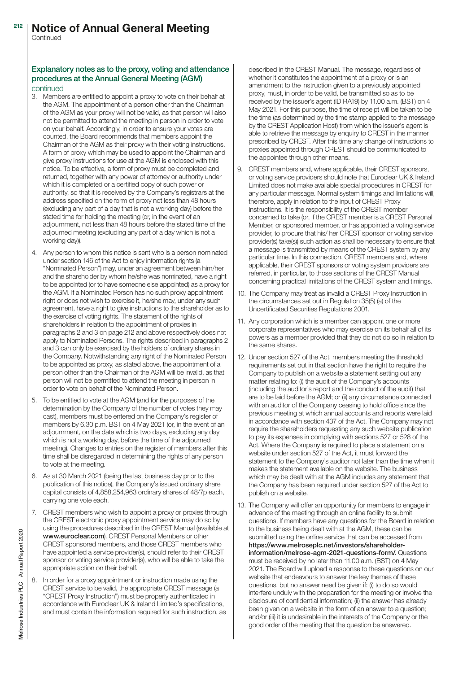#### Notice of Annual General Meeting 212

**Continued** 

# Explanatory notes as to the proxy, voting and attendance procedures at the Annual General Meeting (AGM)

#### continued

- 3. Members are entitled to appoint a proxy to vote on their behalf at the AGM. The appointment of a person other than the Chairman of the AGM as your proxy will not be valid, as that person will also not be permitted to attend the meeting in person in order to vote on your behalf. Accordingly, in order to ensure your votes are counted, the Board recommends that members appoint the Chairman of the AGM as their proxy with their voting instructions. A form of proxy which may be used to appoint the Chairman and give proxy instructions for use at the AGM is enclosed with this notice. To be effective, a form of proxy must be completed and returned, together with any power of attorney or authority under which it is completed or a certified copy of such power or authority, so that it is received by the Company's registrars at the address specified on the form of proxy not less than 48 hours (excluding any part of a day that is not a working day) before the stated time for holding the meeting (or, in the event of an adjournment, not less than 48 hours before the stated time of the adjourned meeting (excluding any part of a day which is not a working day)).
- 4. Any person to whom this notice is sent who is a person nominated under section 146 of the Act to enjoy information rights (a "Nominated Person") may, under an agreement between him/her and the shareholder by whom he/she was nominated, have a right to be appointed (or to have someone else appointed) as a proxy for the AGM. If a Nominated Person has no such proxy appointment right or does not wish to exercise it, he/she may, under any such agreement, have a right to give instructions to the shareholder as to the exercise of voting rights. The statement of the rights of shareholders in relation to the appointment of proxies in paragraphs 2 and 3 on page 212 and above respectively does not apply to Nominated Persons. The rights described in paragraphs 2 and 3 can only be exercised by the holders of ordinary shares in the Company. Notwithstanding any right of the Nominated Person to be appointed as proxy, as stated above, the appointment of a person other than the Chairman of the AGM will be invalid, as that person will not be permitted to attend the meeting in person in order to vote on behalf of the Nominated Person.
- 5. To be entitled to vote at the AGM (and for the purposes of the determination by the Company of the number of votes they may cast), members must be entered on the Company's register of members by 6.30 p.m. BST on 4 May 2021 (or, in the event of an adjournment, on the date which is two days, excluding any day which is not a working day, before the time of the adjourned meeting). Changes to entries on the register of members after this time shall be disregarded in determining the rights of any person to vote at the meeting.
- 6. As at 30 March 2021 (being the last business day prior to the publication of this notice), the Company's issued ordinary share capital consists of 4,858,254,963 ordinary shares of 48/7p each, carrying one vote each.
- 7. CREST members who wish to appoint a proxy or proxies through the CREST electronic proxy appointment service may do so by using the procedures described in the CREST Manual (available at [www.euroclear.com](http://www.euroclear.com)). CREST Personal Members or other CREST sponsored members, and those CREST members who have appointed a service provider(s), should refer to their CREST sponsor or voting service provider(s), who will be able to take the appropriate action on their behalf.
- 8. In order for a proxy appointment or instruction made using the CREST service to be valid, the appropriate CREST message (a "CREST Proxy Instruction") must be properly authenticated in accordance with Euroclear UK & Ireland Limited's specifications, and must contain the information required for such instruction, as

described in the CREST Manual. The message, regardless of whether it constitutes the appointment of a proxy or is an amendment to the instruction given to a previously appointed proxy, must, in order to be valid, be transmitted so as to be received by the issuer's agent (ID RA19) by 11.00 a.m. (BST) on 4 May 2021. For this purpose, the time of receipt will be taken to be the time (as determined by the time stamp applied to the message by the CREST Application Host) from which the issuer's agent is able to retrieve the message by enquiry to CREST in the manner prescribed by CREST. After this time any change of instructions to proxies appointed through CREST should be communicated to the appointee through other means.

- 9. CREST members and, where applicable, their CREST sponsors, or voting service providers should note that Euroclear UK & Ireland Limited does not make available special procedures in CREST for any particular message. Normal system timings and limitations will, therefore, apply in relation to the input of CREST Proxy Instructions. It is the responsibility of the CREST member concerned to take (or, if the CREST member is a CREST Personal Member, or sponsored member, or has appointed a voting service provider, to procure that his/ her CREST sponsor or voting service provider(s) take(s)) such action as shall be necessary to ensure that a message is transmitted by means of the CREST system by any particular time. In this connection, CREST members and, where applicable, their CREST sponsors or voting system providers are referred, in particular, to those sections of the CREST Manual concerning practical limitations of the CREST system and timings.
- 10. The Company may treat as invalid a CREST Proxy Instruction in the circumstances set out in Regulation 35(5) (a) of the Uncertificated Securities Regulations 2001.
- 11. Any corporation which is a member can appoint one or more corporate representatives who may exercise on its behalf all of its powers as a member provided that they do not do so in relation to the same shares.
- 12. Under section 527 of the Act, members meeting the threshold requirements set out in that section have the right to require the Company to publish on a website a statement setting out any matter relating to: (i) the audit of the Company's accounts (including the auditor's report and the conduct of the audit) that are to be laid before the AGM; or (ii) any circumstance connected with an auditor of the Company ceasing to hold office since the previous meeting at which annual accounts and reports were laid in accordance with section 437 of the Act. The Company may not require the shareholders requesting any such website publication to pay its expenses in complying with sections 527 or 528 of the Act. Where the Company is required to place a statement on a website under section 527 of the Act, it must forward the statement to the Company's auditor not later than the time when it makes the statement available on the website. The business which may be dealt with at the AGM includes any statement that the Company has been required under section 527 of the Act to publish on a website.
- 13. The Company will offer an opportunity for members to engage in advance of the meeting through an online facility to submit questions. If members have any questions for the Board in relation to the business being dealt with at the AGM, these can be submitted using the online service that can be accessed from [https://www.melroseplc.net/investors/shareholder](https://www.melroseplc.net/investors/shareholder-information/melrose-agm-2021-questions-form/)[information/melrose-agm-2021-questions-form/](https://www.melroseplc.net/investors/shareholder-information/melrose-agm-2021-questions-form/). Questions must be received by no later than 11.00 a.m. (BST) on 4 May 2021. The Board will upload a response to these questions on our website that endeavours to answer the key themes of these questions, but no answer need be given if: (i) to do so would interfere unduly with the preparation for the meeting or involve the disclosure of confidential information; (ii) the answer has already been given on a website in the form of an answer to a question; and/or (iii) it is undesirable in the interests of the Company or the good order of the meeting that the question be answered.